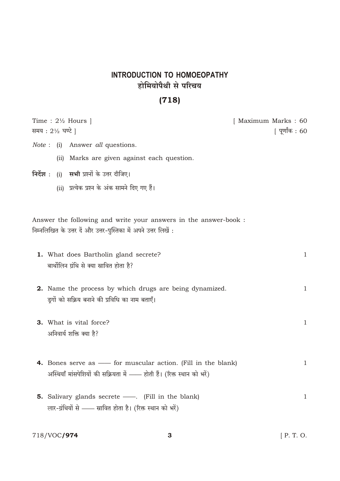## INTRODUCTION TO HOMOEOPATHY होमियोपैथी से परिचय

## $(718)$

|                  |       | Time : $2\frac{1}{2}$ Hours                                                                                                          | [ Maximum Marks : 60 |
|------------------|-------|--------------------------------------------------------------------------------------------------------------------------------------|----------------------|
| समय : 2½ घण्टे ] |       |                                                                                                                                      | [ पूर्णांक : 60      |
|                  |       | <i>Note</i> : (i) Answer <i>all</i> questions.                                                                                       |                      |
|                  | (iii) | Marks are given against each question.                                                                                               |                      |
| निर्देश :        |       | (i) <b>सभी</b> प्रश्नों के उत्तर दीजिए।                                                                                              |                      |
|                  |       | (ii) प्रत्येक प्रश्न के अंक सामने दिए गए हैं।                                                                                        |                      |
|                  |       |                                                                                                                                      |                      |
|                  |       | Answer the following and write your answers in the answer-book :<br>निम्नलिखित के उत्तर दें और उत्तर-पुस्तिका में अपने उत्तर लिखें : |                      |
|                  |       | 1. What does Bartholin gland secrete?<br>बार्थोलिन ग्रंथि से क्या स्रावित होता है?                                                   | $\mathbf{1}$         |
|                  |       | <b>2.</b> Name the process by which drugs are being dynamized.<br>डूगों को सक्रिय बनाने की प्रविधि का नाम बताएँ।                     | $\mathbf{1}$         |
|                  |       | <b>3.</b> What is vital force?                                                                                                       | $\mathbf{1}$         |
|                  |       | अनिवार्य शक्ति क्या है?                                                                                                              |                      |
|                  |       |                                                                                                                                      |                      |
|                  |       | <b>4.</b> Bones serve as — for muscular action. (Fill in the blank)                                                                  | $\mathbf{1}$         |
|                  |       | अस्थियाँ मांसपेशियों की सक्रियता में —— होती हैं। (रिक्त स्थान को भरें)                                                              |                      |
|                  |       | <b>5.</b> Salivary glands secrete — . (Fill in the blank)                                                                            | 1                    |
|                  |       | लार-ग्रंथियों से —— स्रावित होता है। (रिक्त स्थान को भरें)                                                                           |                      |
|                  |       |                                                                                                                                      |                      |

718/VOC**/974**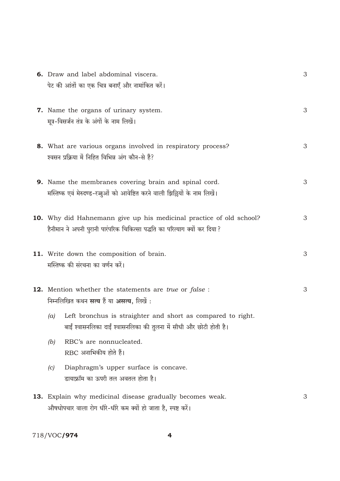|     | <b>6.</b> Draw and label abdominal viscera.                                                                                                               | 3 |
|-----|-----------------------------------------------------------------------------------------------------------------------------------------------------------|---|
|     | पेट की आंतों का एक चित्र बनाएँ और नामांकित करें।                                                                                                          |   |
|     | 7. Name the organs of urinary system.<br>मूत्र-विसर्जन तंत्र के अंगों के नाम लिखें।                                                                       | 3 |
|     | 8. What are various organs involved in respiratory process?<br>श्वसन प्रक्रिया में निहित विभिन्न अंग कौन-से हैं?                                          | 3 |
|     | 9. Name the membranes covering brain and spinal cord.<br>मस्तिष्क एवं मेरुदण्ड-रज्जुओं को आवेष्टित करने वाली झिल्लियों के नाम लिखें।                      | 3 |
|     | <b>10.</b> Why did Hahnemann give up his medicinal practice of old school?<br>हैनीमान ने अपनी पुरानी पारंपरिक चिकित्सा पद्धति का परित्याग क्यों कर दिया ? | 3 |
|     | 11. Write down the composition of brain.<br>मस्तिष्क की संरचना का वर्णन करें।                                                                             | 3 |
|     | <b>12.</b> Mention whether the statements are true or false :<br>निम्नलिखित कथन <b>सत्य</b> हैं या असत्य, लिखें :                                         | 3 |
| (a) | Left bronchus is straighter and short as compared to right.<br>बाईं श्वासनलिका दाईं श्वासनलिका की तुलना में सीधी और छोटी होती है।                         |   |
| (b) | RBC's are nonnucleated.<br>RBC अनाभिकीय होते हैं।                                                                                                         |   |
| (c) | Diaphragm's upper surface is concave.<br>डायाफ्रॉम का ऊपरी तल अवतल होता है।                                                                               |   |
|     | 13. Explain why medicinal disease gradually becomes weak.<br>औषधोपचार वाला रोग धीरे-धीरे कम क्यों हो जाता है, स्पष्ट करें।                                | 3 |

 $\overline{\mathbf{4}}$